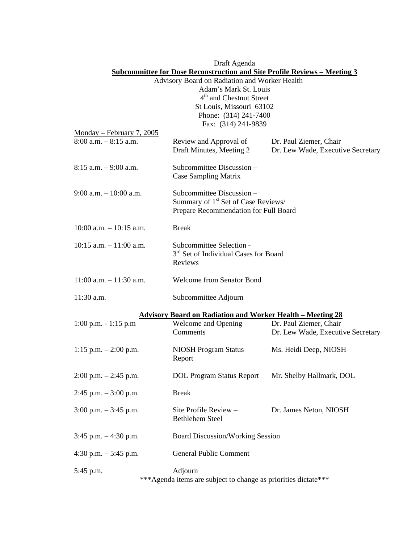|                                                                           | Draft Agenda                                                      |                                   |  |  |
|---------------------------------------------------------------------------|-------------------------------------------------------------------|-----------------------------------|--|--|
| Subcommittee for Dose Reconstruction and Site Profile Reviews - Meeting 3 |                                                                   |                                   |  |  |
| Advisory Board on Radiation and Worker Health                             |                                                                   |                                   |  |  |
| Adam's Mark St. Louis                                                     |                                                                   |                                   |  |  |
| 4 <sup>th</sup> and Chestnut Street                                       |                                                                   |                                   |  |  |
|                                                                           | St Louis, Missouri 63102                                          |                                   |  |  |
|                                                                           | Phone: (314) 241-7400                                             |                                   |  |  |
|                                                                           | Fax: (314) 241-9839                                               |                                   |  |  |
| Monday - February 7, 2005                                                 |                                                                   |                                   |  |  |
| $8:00$ a.m. $-8:15$ a.m.                                                  | Review and Approval of                                            | Dr. Paul Ziemer, Chair            |  |  |
|                                                                           | Draft Minutes, Meeting 2                                          | Dr. Lew Wade, Executive Secretary |  |  |
|                                                                           |                                                                   |                                   |  |  |
| $8:15$ a.m. $-9:00$ a.m.                                                  | Subcommittee Discussion -                                         |                                   |  |  |
|                                                                           | Case Sampling Matrix                                              |                                   |  |  |
|                                                                           |                                                                   |                                   |  |  |
| $9:00$ a.m. $-10:00$ a.m.                                                 | Subcommittee Discussion -                                         |                                   |  |  |
|                                                                           | Summary of 1 <sup>st</sup> Set of Case Reviews/                   |                                   |  |  |
|                                                                           | Prepare Recommendation for Full Board                             |                                   |  |  |
|                                                                           |                                                                   |                                   |  |  |
| $10:00$ a.m. $-10:15$ a.m.                                                | <b>Break</b>                                                      |                                   |  |  |
|                                                                           |                                                                   |                                   |  |  |
| $10:15$ a.m. $-11:00$ a.m.                                                | Subcommittee Selection -                                          |                                   |  |  |
|                                                                           | 3 <sup>rd</sup> Set of Individual Cases for Board                 |                                   |  |  |
|                                                                           | Reviews                                                           |                                   |  |  |
|                                                                           |                                                                   |                                   |  |  |
| $11:00$ a.m. $-11:30$ a.m.                                                | <b>Welcome from Senator Bond</b>                                  |                                   |  |  |
|                                                                           |                                                                   |                                   |  |  |
| 11:30 a.m.                                                                | Subcommittee Adjourn                                              |                                   |  |  |
|                                                                           |                                                                   |                                   |  |  |
|                                                                           | <b>Advisory Board on Radiation and Worker Health - Meeting 28</b> |                                   |  |  |
| $1:00$ p.m. $-1:15$ p.m                                                   | Welcome and Opening                                               | Dr. Paul Ziemer, Chair            |  |  |
|                                                                           | Comments                                                          | Dr. Lew Wade, Executive Secretary |  |  |
|                                                                           |                                                                   |                                   |  |  |
| 1:15 p.m. $-2:00$ p.m.                                                    | <b>NIOSH Program Status</b>                                       | Ms. Heidi Deep, NIOSH             |  |  |
|                                                                           | Report                                                            |                                   |  |  |
|                                                                           |                                                                   |                                   |  |  |
| $2:00$ p.m. $-2:45$ p.m.                                                  | <b>DOL Program Status Report</b>                                  | Mr. Shelby Hallmark, DOL          |  |  |
|                                                                           |                                                                   |                                   |  |  |
| $2:45$ p.m. $-3:00$ p.m.                                                  | <b>Break</b>                                                      |                                   |  |  |
|                                                                           |                                                                   |                                   |  |  |
| $3:00$ p.m. $-3:45$ p.m.                                                  | Site Profile Review -                                             | Dr. James Neton, NIOSH            |  |  |
|                                                                           | <b>Bethlehem Steel</b>                                            |                                   |  |  |
|                                                                           |                                                                   |                                   |  |  |
| $3:45$ p.m. $-4:30$ p.m.                                                  | <b>Board Discussion/Working Session</b>                           |                                   |  |  |
|                                                                           |                                                                   |                                   |  |  |
| 4:30 p.m. $-$ 5:45 p.m.                                                   | General Public Comment                                            |                                   |  |  |
|                                                                           |                                                                   |                                   |  |  |
| 5:45 p.m.                                                                 | Adjourn                                                           |                                   |  |  |
| *** Agenda items are subject to change as priorities dictate***           |                                                                   |                                   |  |  |
|                                                                           |                                                                   |                                   |  |  |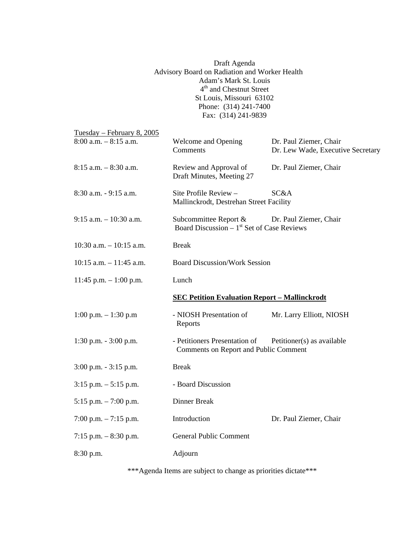|                            | Draft Agenda<br>Advisory Board on Radiation and Worker Health<br>Adam's Mark St. Louis<br>4 <sup>th</sup> and Chestnut Street<br>St Louis, Missouri 63102<br>Phone: (314) 241-7400<br>Fax: (314) 241-9839 |                                                             |  |
|----------------------------|-----------------------------------------------------------------------------------------------------------------------------------------------------------------------------------------------------------|-------------------------------------------------------------|--|
| Tuesday – February 8, 2005 |                                                                                                                                                                                                           |                                                             |  |
| $8:00$ a.m. $-8:15$ a.m.   | Welcome and Opening<br>Comments                                                                                                                                                                           | Dr. Paul Ziemer, Chair<br>Dr. Lew Wade, Executive Secretary |  |
| $8:15$ a.m. $-8:30$ a.m.   | Review and Approval of<br>Draft Minutes, Meeting 27                                                                                                                                                       | Dr. Paul Ziemer, Chair                                      |  |
| 8:30 a.m. - 9:15 a.m.      | Site Profile Review -<br>Mallinckrodt, Destrehan Street Facility                                                                                                                                          | SC&A                                                        |  |
| $9:15$ a.m. $-10:30$ a.m.  | Subcommittee Report &<br>Board Discussion $-1$ <sup>st</sup> Set of Case Reviews                                                                                                                          | Dr. Paul Ziemer, Chair                                      |  |
| $10:30$ a.m. $-10:15$ a.m. | <b>Break</b>                                                                                                                                                                                              |                                                             |  |
| $10:15$ a.m. $-11:45$ a.m. | <b>Board Discussion/Work Session</b>                                                                                                                                                                      |                                                             |  |
| 11:45 p.m. $- 1:00$ p.m.   | Lunch                                                                                                                                                                                                     |                                                             |  |
|                            | <b>SEC Petition Evaluation Report - Mallinckrodt</b>                                                                                                                                                      |                                                             |  |
| 1:00 p.m. $- 1:30$ p.m     | - NIOSH Presentation of<br>Reports                                                                                                                                                                        | Mr. Larry Elliott, NIOSH                                    |  |
| $1:30$ p.m. $-3:00$ p.m.   | - Petitioners Presentation of<br>Comments on Report and Public Comment                                                                                                                                    | Petitioner(s) as available                                  |  |
| 3:00 p.m. - 3:15 p.m.      | Break                                                                                                                                                                                                     |                                                             |  |
| $3:15$ p.m. $-5:15$ p.m.   | - Board Discussion                                                                                                                                                                                        |                                                             |  |
| 5:15 p.m. $-7:00$ p.m.     | Dinner Break                                                                                                                                                                                              |                                                             |  |
| 7:00 p.m. $-7:15$ p.m.     | Introduction                                                                                                                                                                                              | Dr. Paul Ziemer, Chair                                      |  |
| 7:15 p.m. $-8:30$ p.m.     | <b>General Public Comment</b>                                                                                                                                                                             |                                                             |  |
| 8:30 p.m.                  | Adjourn                                                                                                                                                                                                   |                                                             |  |

\*\*\*Agenda Items are subject to change as priorities dictate\*\*\*